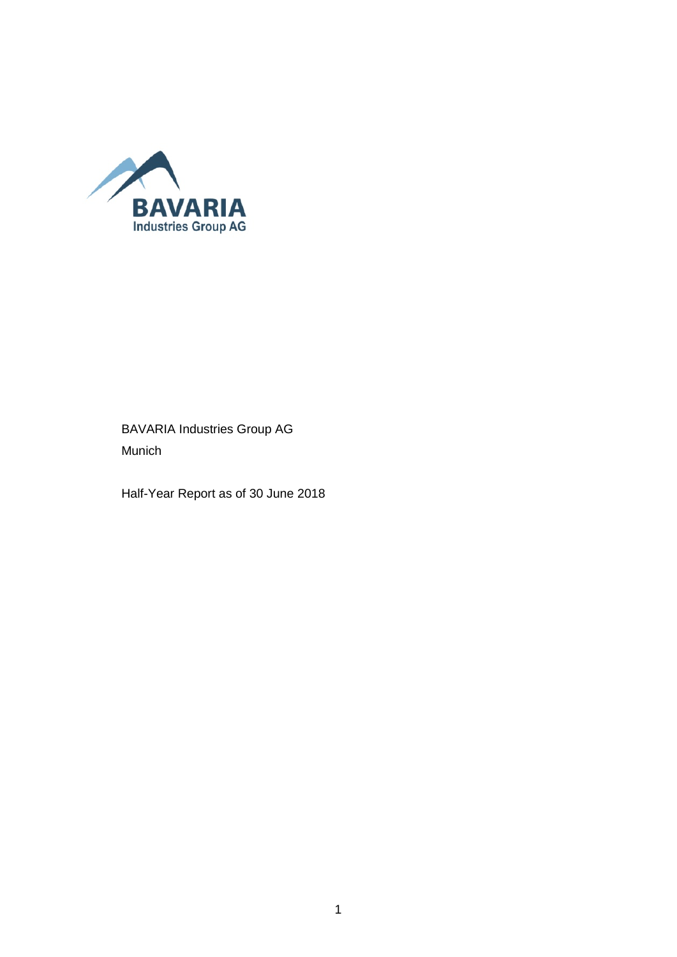

### BAVARIA Industries Group AG Munich

Half-Year Report as of 30 June 2018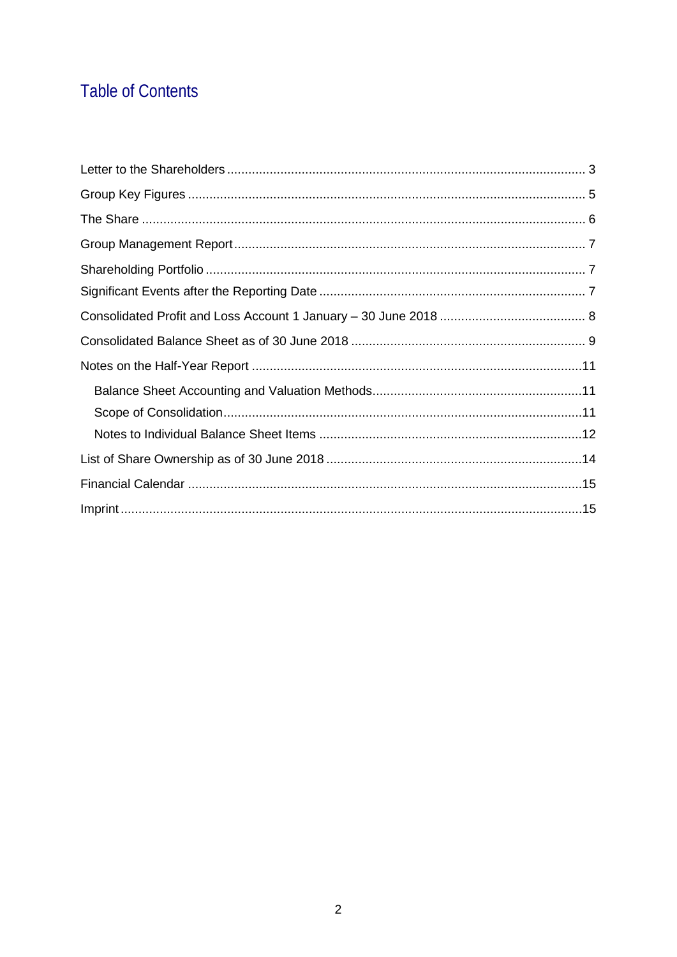## **Table of Contents**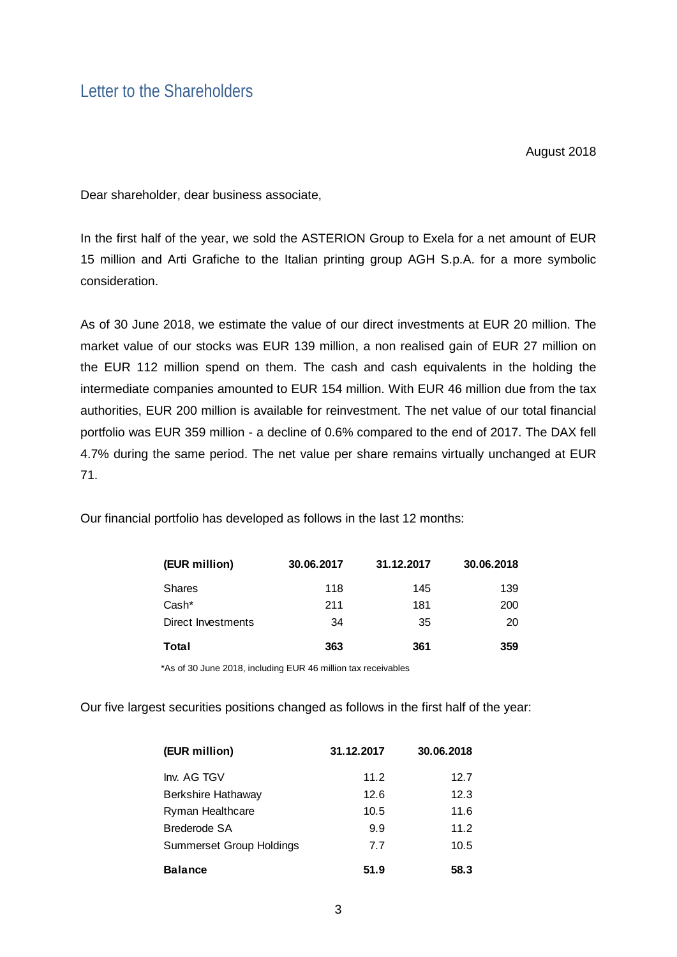### <span id="page-2-0"></span>Letter to the Shareholders

August 2018

Dear shareholder, dear business associate,

In the first half of the year, we sold the ASTERION Group to Exela for a net amount of EUR 15 million and Arti Grafiche to the Italian printing group AGH S.p.A. for a more symbolic consideration.

As of 30 June 2018, we estimate the value of our direct investments at EUR 20 million. The market value of our stocks was EUR 139 million, a non realised gain of EUR 27 million on the EUR 112 million spend on them. The cash and cash equivalents in the holding the intermediate companies amounted to EUR 154 million. With EUR 46 million due from the tax authorities, EUR 200 million is available for reinvestment. The net value of our total financial portfolio was EUR 359 million - a decline of 0.6% compared to the end of 2017. The DAX fell 4.7% during the same period. The net value per share remains virtually unchanged at EUR 71.

Our financial portfolio has developed as follows in the last 12 months:

| (EUR million)      | 30.06.2017 | 31.12.2017 | 30.06.2018 |
|--------------------|------------|------------|------------|
| <b>Shares</b>      | 118        | 145        | 139        |
| Cash*              | 211        | 181        | 200        |
| Direct Investments | 34         | 35         | 20         |
| Total              | 363        | 361        | 359        |

\*As of 30 June 2018, including EUR 46 million tax receivables

Our five largest securities positions changed as follows in the first half of the year:

| (EUR million)                   | 31.12.2017 | 30.06.2018 |
|---------------------------------|------------|------------|
| Inv. AG TGV                     | 11.2       | 12.7       |
| Berkshire Hathaway              | 12.6       | 12.3       |
| Ryman Healthcare                | 10.5       | 11.6       |
| Brederode SA                    | 9.9        | 11.2       |
| <b>Summerset Group Holdings</b> | 7.7        | 10.5       |
| <b>Balance</b>                  | 51.9       | 58.3       |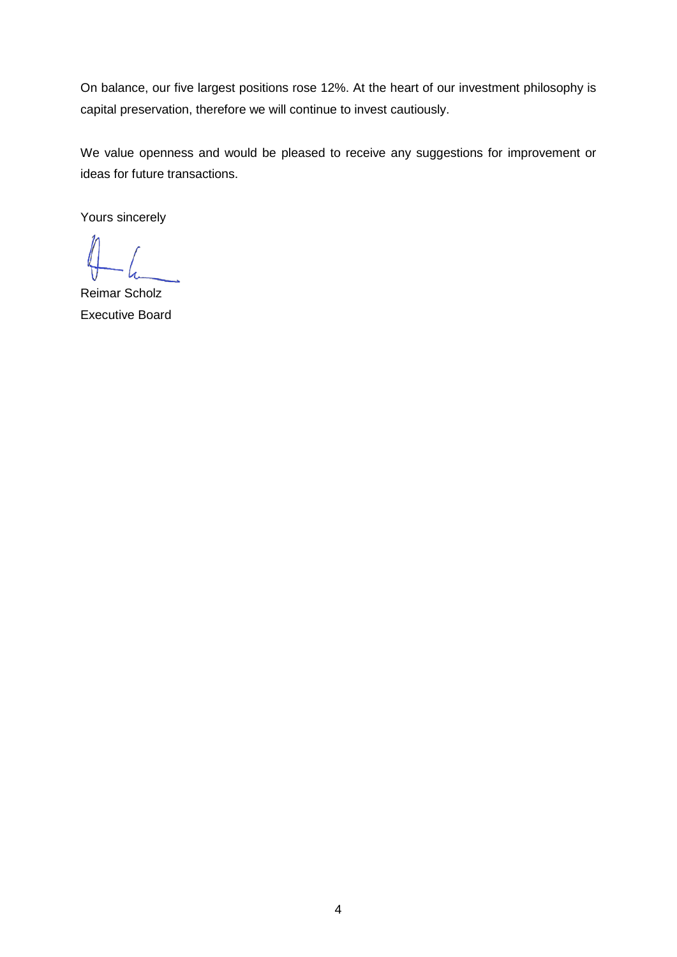On balance, our five largest positions rose 12%. At the heart of our investment philosophy is capital preservation, therefore we will continue to invest cautiously.

We value openness and would be pleased to receive any suggestions for improvement or ideas for future transactions.

Yours sincerely

Reimar Scholz Executive Board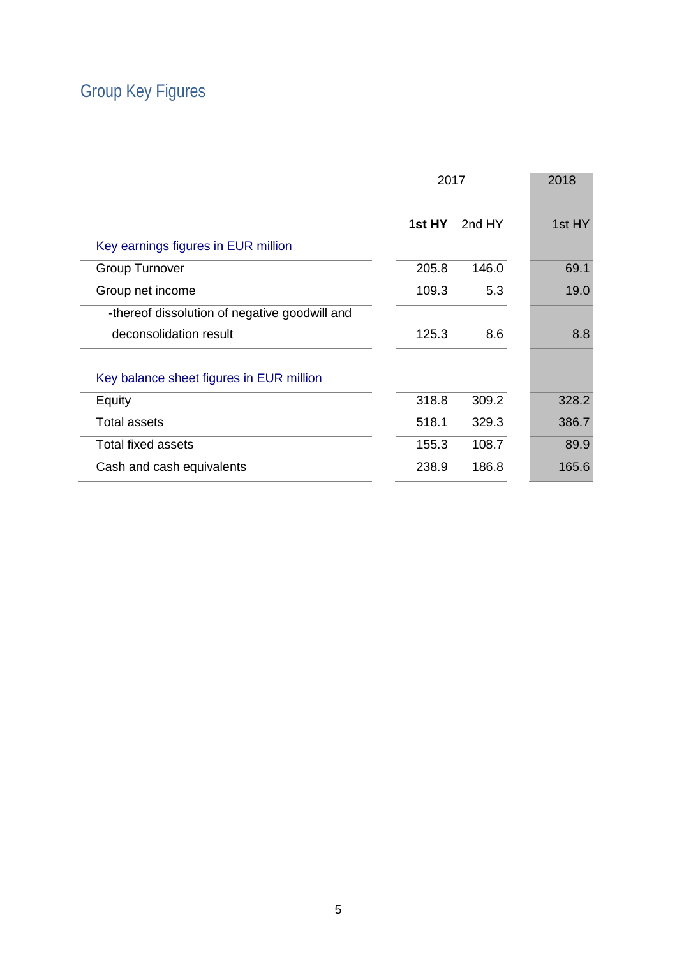# <span id="page-4-0"></span>Group Key Figures

|                                               |        | 2017   |        |
|-----------------------------------------------|--------|--------|--------|
|                                               | 1st HY | 2nd HY | 1st HY |
| Key earnings figures in EUR million           |        |        |        |
| <b>Group Turnover</b>                         | 205.8  | 146.0  | 69.1   |
| Group net income                              | 109.3  | 5.3    | 19.0   |
| -thereof dissolution of negative goodwill and |        |        |        |
| deconsolidation result                        | 125.3  | 8.6    | 8.8    |
| Key balance sheet figures in EUR million      |        |        |        |
| Equity                                        | 318.8  | 309.2  | 328.2  |
| <b>Total assets</b>                           | 518.1  | 329.3  | 386.7  |
| <b>Total fixed assets</b>                     | 155.3  | 108.7  | 89.9   |
| Cash and cash equivalents                     | 238.9  | 186.8  | 165.6  |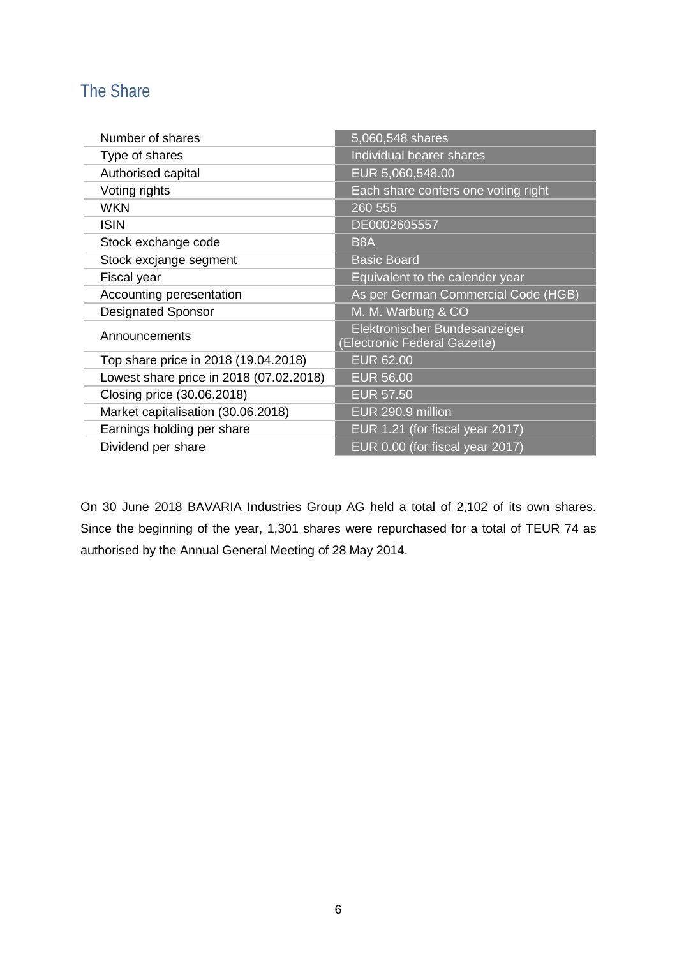### <span id="page-5-0"></span>The Share

| Number of shares                        | 5,060,548 shares                                              |
|-----------------------------------------|---------------------------------------------------------------|
| Type of shares                          | Individual bearer shares                                      |
| Authorised capital                      | EUR 5,060,548.00                                              |
| Voting rights                           | Each share confers one voting right                           |
| <b>WKN</b>                              | 260 555                                                       |
| <b>ISIN</b>                             | DE0002605557                                                  |
| Stock exchange code                     | B <sub>8</sub> A                                              |
| Stock excjange segment                  | <b>Basic Board</b>                                            |
| Fiscal year                             | Equivalent to the calender year                               |
| Accounting peresentation                | As per German Commercial Code (HGB)                           |
| <b>Designated Sponsor</b>               | M. M. Warburg & CO                                            |
| Announcements                           | Elektronischer Bundesanzeiger<br>(Electronic Federal Gazette) |
| Top share price in 2018 (19.04.2018)    | <b>EUR 62.00</b>                                              |
| Lowest share price in 2018 (07.02.2018) | <b>EUR 56.00</b>                                              |
| Closing price (30.06.2018)              | <b>EUR 57.50</b>                                              |
| Market capitalisation (30.06.2018)      | EUR 290.9 million                                             |
| Earnings holding per share              | EUR 1.21 (for fiscal year 2017)                               |
| Dividend per share                      | EUR 0.00 (for fiscal year 2017)                               |

On 30 June 2018 BAVARIA Industries Group AG held a total of 2,102 of its own shares. Since the beginning of the year, 1,301 shares were repurchased for a total of TEUR 74 as authorised by the Annual General Meeting of 28 May 2014.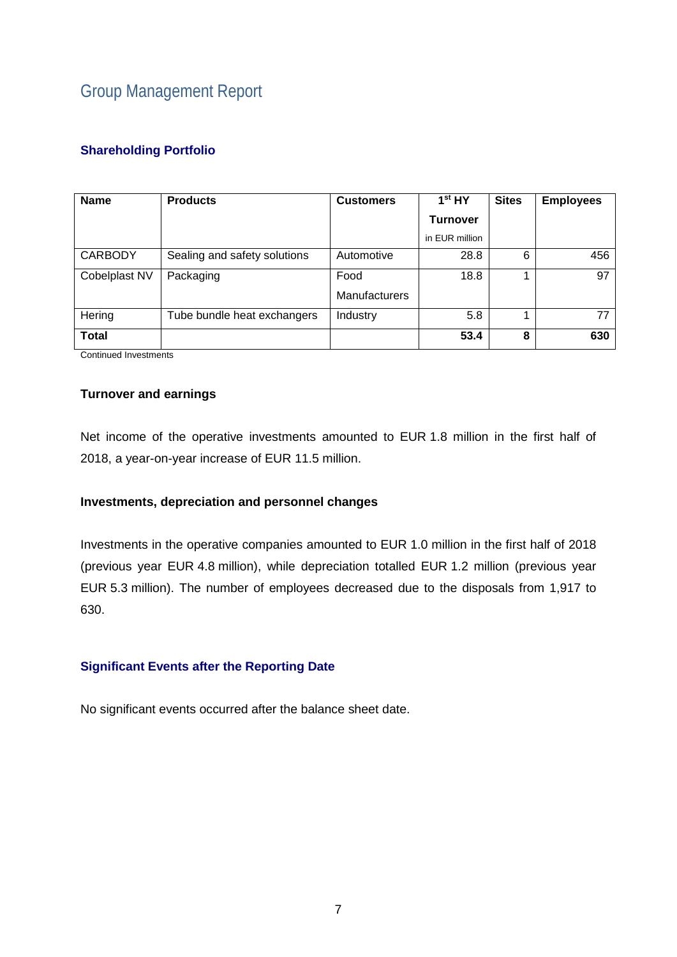## <span id="page-6-0"></span>Group Management Report

#### <span id="page-6-1"></span>**Shareholding Portfolio**

| <b>Name</b>    | <b>Products</b>              | <b>Customers</b>     | 1 <sup>st</sup> HY | <b>Sites</b> | <b>Employees</b> |
|----------------|------------------------------|----------------------|--------------------|--------------|------------------|
|                |                              |                      | <b>Turnover</b>    |              |                  |
|                |                              |                      | in EUR million     |              |                  |
| <b>CARBODY</b> | Sealing and safety solutions | Automotive           | 28.8               | 6            | 456              |
| Cobelplast NV  | Packaging                    | Food                 | 18.8               |              | 97               |
|                |                              | <b>Manufacturers</b> |                    |              |                  |
| Hering         | Tube bundle heat exchangers  | Industry             | 5.8                |              | 77               |
| <b>Total</b>   |                              |                      | 53.4               | 8            | 630              |

Continued Investments

#### **Turnover and earnings**

Net income of the operative investments amounted to EUR 1.8 million in the first half of 2018, a year-on-year increase of EUR 11.5 million.

#### **Investments, depreciation and personnel changes**

Investments in the operative companies amounted to EUR 1.0 million in the first half of 2018 (previous year EUR 4.8 million), while depreciation totalled EUR 1.2 million (previous year EUR 5.3 million). The number of employees decreased due to the disposals from 1,917 to 630.

#### <span id="page-6-2"></span>**Significant Events after the Reporting Date**

No significant events occurred after the balance sheet date.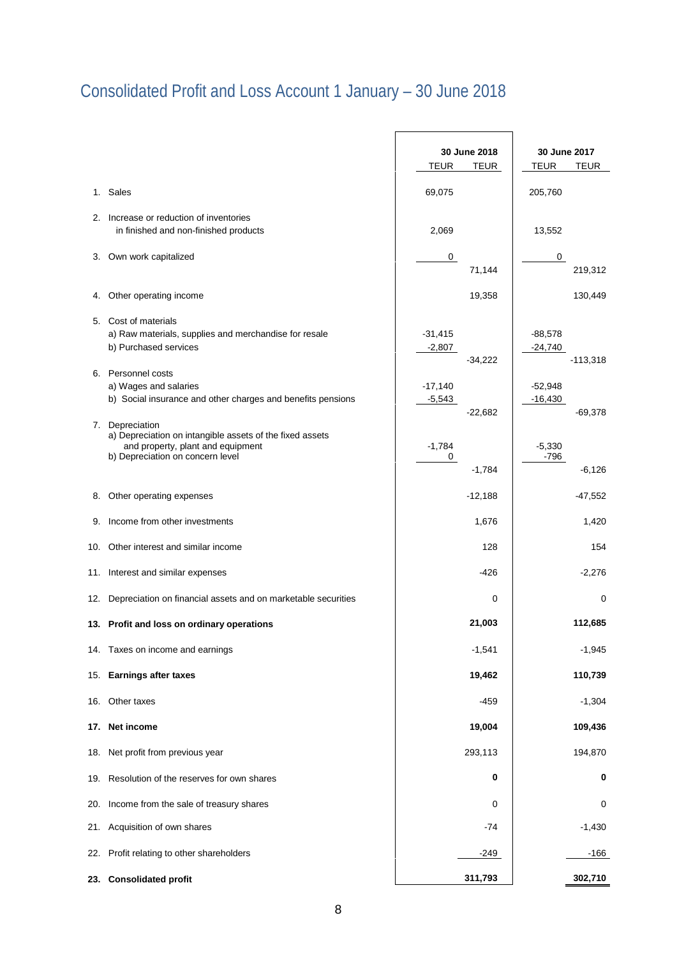# <span id="page-7-0"></span>Consolidated Profit and Loss Account 1 January – 30 June 2018

|     |                                                                                                                                                   | 30 June 2018                       | 30 June 2017                         |
|-----|---------------------------------------------------------------------------------------------------------------------------------------------------|------------------------------------|--------------------------------------|
|     |                                                                                                                                                   | <b>TEUR</b><br>TEUR                | <b>TEUR</b><br><b>TEUR</b>           |
|     | 1. Sales                                                                                                                                          | 69,075                             | 205,760                              |
| 2.  | Increase or reduction of inventories<br>in finished and non-finished products                                                                     | 2,069                              | 13,552                               |
| 3.  | Own work capitalized                                                                                                                              | 0<br>71,144                        | $\mathbf 0$<br>219,312               |
| 4.  | Other operating income                                                                                                                            | 19,358                             | 130,449                              |
|     | 5. Cost of materials<br>a) Raw materials, supplies and merchandise for resale<br>b) Purchased services                                            | $-31,415$<br>$-2,807$<br>$-34,222$ | $-88,578$<br>$-24,740$<br>$-113,318$ |
|     | 6. Personnel costs<br>a) Wages and salaries<br>b) Social insurance and other charges and benefits pensions                                        | $-17,140$<br>$-5,543$<br>$-22,682$ | $-52,948$<br>$-16,430$<br>$-69,378$  |
| 7.  | Depreciation<br>a) Depreciation on intangible assets of the fixed assets<br>and property, plant and equipment<br>b) Depreciation on concern level | $-1,784$<br>0<br>$-1,784$          | $-5,330$<br>-796<br>$-6,126$         |
| 8.  | Other operating expenses                                                                                                                          | $-12,188$                          | $-47,552$                            |
| 9.  | Income from other investments                                                                                                                     | 1,676                              | 1,420                                |
| 10. | Other interest and similar income                                                                                                                 | 128                                | 154                                  |
|     | 11. Interest and similar expenses                                                                                                                 | $-426$                             | $-2,276$                             |
| 12. | Depreciation on financial assets and on marketable securities                                                                                     | 0                                  | 0                                    |
|     | 13. Profit and loss on ordinary operations                                                                                                        | 21,003                             | 112,685                              |
|     | 14. Taxes on income and earnings                                                                                                                  | $-1,541$                           | $-1,945$                             |
| 15. | <b>Earnings after taxes</b>                                                                                                                       | 19,462                             | 110,739                              |
| 16. | Other taxes                                                                                                                                       | $-459$                             | $-1,304$                             |
| 17. | Net income                                                                                                                                        | 19,004                             | 109,436                              |
| 18. | Net profit from previous year                                                                                                                     | 293,113                            | 194,870                              |
| 19. | Resolution of the reserves for own shares                                                                                                         | 0                                  | 0                                    |
| 20. | Income from the sale of treasury shares                                                                                                           | 0                                  | 0                                    |
| 21. | Acquisition of own shares                                                                                                                         | $-74$                              | $-1,430$                             |
| 22. | Profit relating to other shareholders                                                                                                             | $-249$                             | $-166$                               |
| 23. | <b>Consolidated profit</b>                                                                                                                        | 311,793                            | 302,710                              |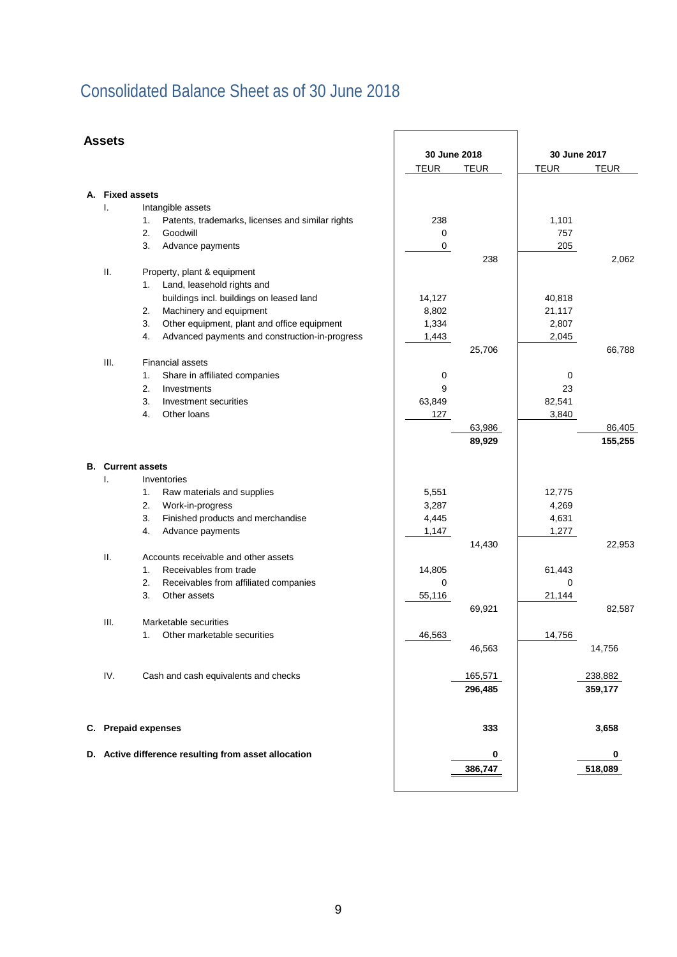## <span id="page-8-0"></span>Consolidated Balance Sheet as of 30 June 2018

#### **Assets**

|    | Assets              |                                                        |              |             |              |             |
|----|---------------------|--------------------------------------------------------|--------------|-------------|--------------|-------------|
|    |                     |                                                        | 30 June 2018 |             | 30 June 2017 |             |
|    |                     |                                                        | <b>TEUR</b>  | <b>TEUR</b> | <b>TEUR</b>  | <b>TEUR</b> |
|    |                     |                                                        |              |             |              |             |
| А. | <b>Fixed assets</b> |                                                        |              |             |              |             |
|    | I.                  | Intangible assets                                      |              |             |              |             |
|    |                     | Patents, trademarks, licenses and similar rights<br>1. | 238          |             | 1,101        |             |
|    |                     | 2.<br>Goodwill                                         | 0            |             | 757          |             |
|    |                     | 3.<br>Advance payments                                 | $\pmb{0}$    | 238         | 205          | 2,062       |
|    | Ш.                  | Property, plant & equipment                            |              |             |              |             |
|    |                     | Land, leasehold rights and<br>1.                       |              |             |              |             |
|    |                     | buildings incl. buildings on leased land               | 14,127       |             | 40,818       |             |
|    |                     | 2.<br>Machinery and equipment                          | 8,802        |             | 21,117       |             |
|    |                     | 3.<br>Other equipment, plant and office equipment      | 1,334        |             | 2,807        |             |
|    |                     | 4.<br>Advanced payments and construction-in-progress   | 1,443        |             | 2,045        |             |
|    |                     |                                                        |              | 25,706      |              | 66,788      |
|    | III.                | <b>Financial assets</b>                                |              |             |              |             |
|    |                     | Share in affiliated companies<br>1.                    | 0            |             | 0            |             |
|    |                     | 2.<br>Investments                                      | 9            |             | 23           |             |
|    |                     | 3.<br>Investment securities                            | 63,849       |             | 82,541       |             |
|    |                     | 4.<br>Other loans                                      | 127          |             | 3,840        |             |
|    |                     |                                                        |              | 63,986      |              | 86,405      |
|    |                     |                                                        |              | 89,929      |              | 155,255     |
|    |                     | <b>B.</b> Current assets                               |              |             |              |             |
|    | I.                  | Inventories                                            |              |             |              |             |
|    |                     | 1.<br>Raw materials and supplies                       | 5,551        |             | 12,775       |             |
|    |                     | 2.<br>Work-in-progress                                 | 3,287        |             | 4,269        |             |
|    |                     | 3.<br>Finished products and merchandise                | 4,445        |             | 4,631        |             |
|    |                     | 4.<br>Advance payments                                 | 1,147        |             | 1,277        |             |
|    |                     |                                                        |              | 14,430      |              | 22,953      |
|    | Ш.                  | Accounts receivable and other assets                   |              |             |              |             |
|    |                     | Receivables from trade<br>1.                           | 14,805       |             | 61,443       |             |
|    |                     | 2.<br>Receivables from affiliated companies            | 0            |             | 0            |             |
|    |                     | 3.<br>Other assets                                     | 55,116       |             | 21,144       |             |
|    |                     |                                                        |              | 69,921      |              | 82,587      |
|    | Ш.                  | Marketable securities                                  |              |             |              |             |
|    |                     | Other marketable securities<br>1.                      | 46,563       |             | 14,756       |             |
|    |                     |                                                        |              | 46,563      |              | 14,756      |
|    |                     |                                                        |              |             |              |             |
|    | IV.                 | Cash and cash equivalents and checks                   |              | 165,571     |              | 238,882     |
|    |                     |                                                        |              | 296,485     |              | 359,177     |
|    |                     | C. Prepaid expenses                                    |              | 333         |              | 3,658       |
|    |                     |                                                        |              |             |              |             |
|    |                     | D. Active difference resulting from asset allocation   |              | 0           |              | 0           |
|    |                     |                                                        |              | 386,747     |              | 518,089     |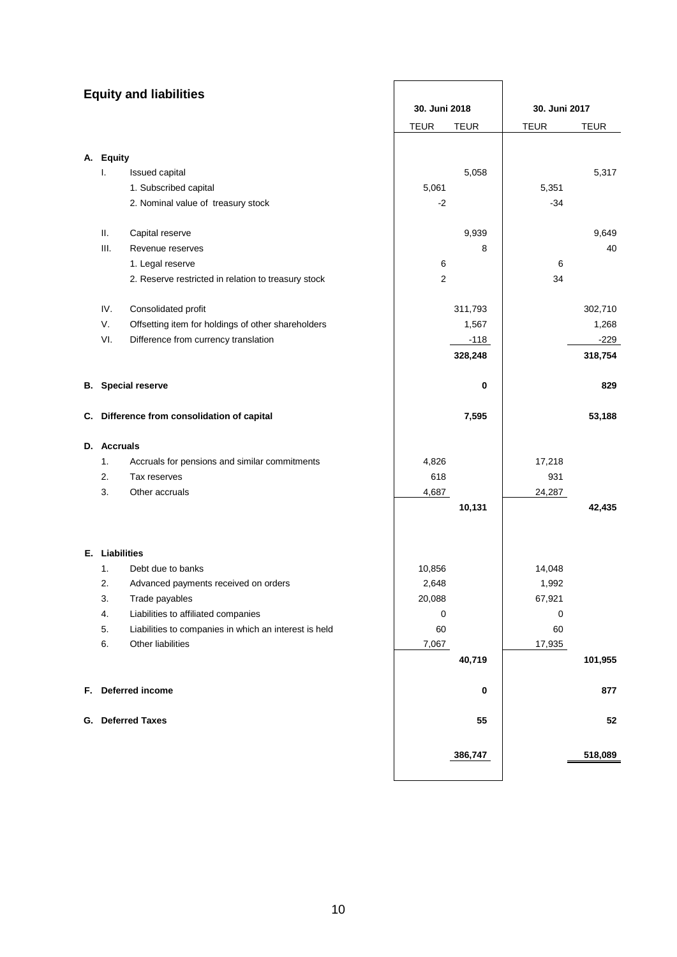<span id="page-9-0"></span>

|                | <b>Equity and liabilities</b>                         |               |             |               |             |
|----------------|-------------------------------------------------------|---------------|-------------|---------------|-------------|
|                |                                                       | 30. Juni 2018 |             | 30. Juni 2017 |             |
|                |                                                       | <b>TEUR</b>   | <b>TEUR</b> | <b>TEUR</b>   | <b>TEUR</b> |
|                |                                                       |               |             |               |             |
| A. Equity      |                                                       |               |             |               |             |
| I.             | Issued capital                                        |               | 5,058       |               | 5,317       |
|                | 1. Subscribed capital                                 | 5,061         |             | 5,351         |             |
|                | 2. Nominal value of treasury stock                    | $-2$          |             | $-34$         |             |
| Ш.             | Capital reserve                                       |               | 9,939       |               | 9,649       |
| III.           | Revenue reserves                                      |               | 8           |               | 40          |
|                | 1. Legal reserve                                      | 6             |             | 6             |             |
|                | 2. Reserve restricted in relation to treasury stock   | $\mathbf{2}$  |             | 34            |             |
| IV.            | Consolidated profit                                   |               | 311,793     |               | 302,710     |
| V.             | Offsetting item for holdings of other shareholders    |               | 1,567       |               | 1,268       |
| VI.            | Difference from currency translation                  |               | $-118$      |               | $-229$      |
|                |                                                       |               | 328,248     |               | 318,754     |
|                | <b>B.</b> Special reserve                             |               | 0           |               | 829         |
|                | C. Difference from consolidation of capital           |               | 7,595       |               | 53,188      |
| D. Accruals    |                                                       |               |             |               |             |
| 1.             | Accruals for pensions and similar commitments         | 4,826         |             | 17,218        |             |
| 2.             | Tax reserves                                          | 618           |             | 931           |             |
| 3.             | Other accruals                                        | 4,687         |             | 24,287        |             |
|                |                                                       |               | 10,131      |               | 42,435      |
|                |                                                       |               |             |               |             |
| E. Liabilities |                                                       |               |             |               |             |
| 1.             | Debt due to banks                                     | 10,856        |             | 14,048        |             |
| 2.             | Advanced payments received on orders                  | 2,648         |             | 1,992         |             |
| 3.             | Trade payables                                        | 20,088        |             | 67,921        |             |
| 4.             | Liabilities to affiliated companies                   | 0             |             | 0             |             |
| 5.             | Liabilities to companies in which an interest is held | 60            |             | 60            |             |
| 6.             | Other liabilities                                     | 7,067         |             | 17,935        |             |
|                |                                                       |               | 40,719      |               | 101,955     |
|                | F. Deferred income                                    |               | 0           |               | 877         |
|                | G. Deferred Taxes                                     |               | 55          |               | 52          |
|                |                                                       |               |             |               |             |
|                |                                                       |               | 386,747     |               | 518,089     |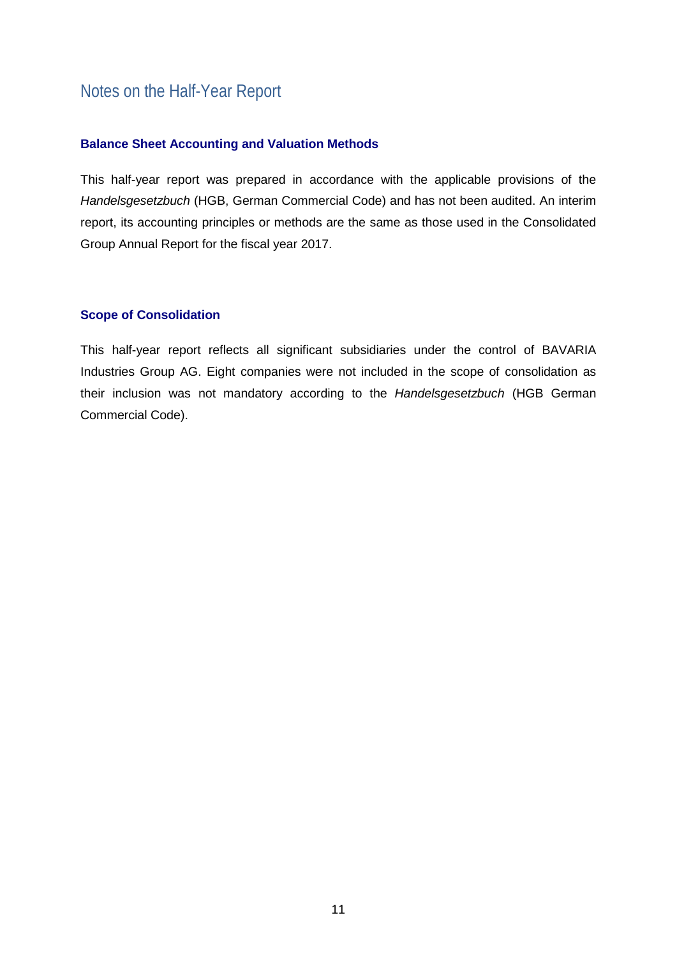### Notes on the Half-Year Report

#### <span id="page-10-0"></span>**Balance Sheet Accounting and Valuation Methods**

This half-year report was prepared in accordance with the applicable provisions of the *Handelsgesetzbuch* (HGB, German Commercial Code) and has not been audited. An interim report, its accounting principles or methods are the same as those used in the Consolidated Group Annual Report for the fiscal year 2017.

#### <span id="page-10-1"></span>**Scope of Consolidation**

This half-year report reflects all significant subsidiaries under the control of BAVARIA Industries Group AG. Eight companies were not included in the scope of consolidation as their inclusion was not mandatory according to the *Handelsgesetzbuch* (HGB German Commercial Code).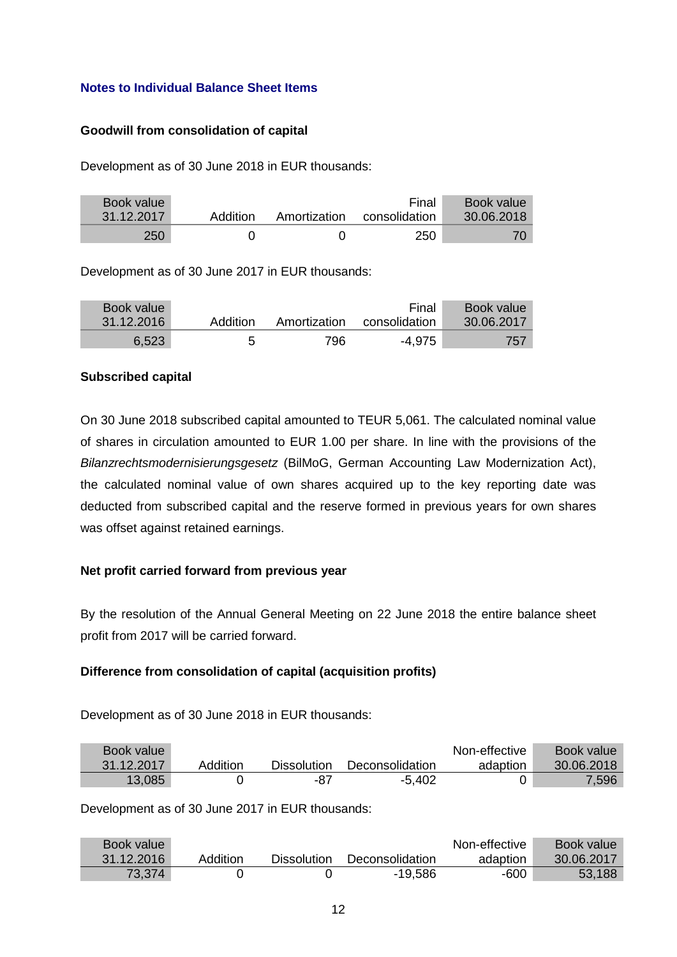#### <span id="page-11-0"></span>**Notes to Individual Balance Sheet Items**

#### **Goodwill from consolidation of capital**

Development as of 30 June 2018 in EUR thousands:

| Book value |          |              | Final         | <b>Book value</b> |
|------------|----------|--------------|---------------|-------------------|
| 31.12.2017 | Addition | Amortization | consolidation | 30.06.2018        |
| 250        |          |              | 250           |                   |

Development as of 30 June 2017 in EUR thousands:

| Book value<br>31.12.2016 | Addition |      | Final<br>Amortization consolidation | Book value<br>30.06.2017 |
|--------------------------|----------|------|-------------------------------------|--------------------------|
| 6,523                    |          | 796. | -4.975                              | 757                      |

#### **Subscribed capital**

On 30 June 2018 subscribed capital amounted to TEUR 5,061. The calculated nominal value of shares in circulation amounted to EUR 1.00 per share. In line with the provisions of the *Bilanzrechtsmodernisierungsgesetz* (BilMoG, German Accounting Law Modernization Act), the calculated nominal value of own shares acquired up to the key reporting date was deducted from subscribed capital and the reserve formed in previous years for own shares was offset against retained earnings.

#### **Net profit carried forward from previous year**

By the resolution of the Annual General Meeting on 22 June 2018 the entire balance sheet profit from 2017 will be carried forward.

#### **Difference from consolidation of capital (acquisition profits)**

Development as of 30 June 2018 in EUR thousands:

| Book value |          |                    |                 | Non-effective | Book value |
|------------|----------|--------------------|-----------------|---------------|------------|
| 31.12.2017 | Addition | <b>Dissolution</b> | Deconsolidation | adaption      | 30.06.2018 |
| 13,085     |          | -87                | $-5,402$        |               | 7,596      |

Development as of 30 June 2017 in EUR thousands:

| Book value |          |             |                 | Non-effective | Book value |
|------------|----------|-------------|-----------------|---------------|------------|
| 31.12.2016 | Addition | Dissolution | Deconsolidation | adaption      | 30.06.2017 |
| 73,374     |          |             | -19,586         | -600          | 53,188     |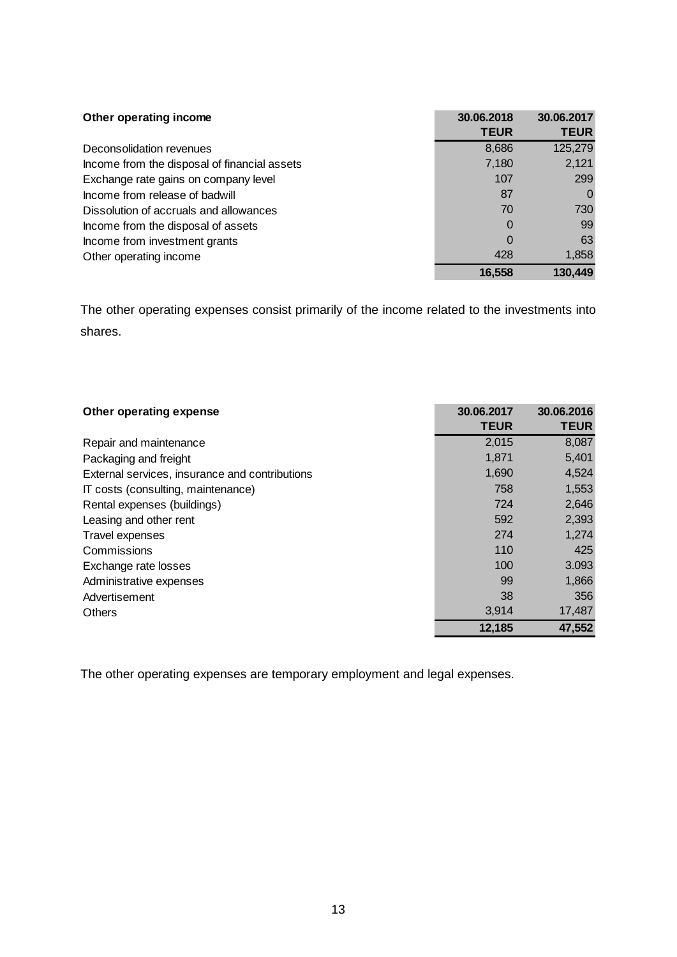| Other operating income                       | 30.06.2018<br><b>TEUR</b> | 30.06.2017<br><b>TEUR</b> |
|----------------------------------------------|---------------------------|---------------------------|
| Deconsolidation revenues                     | 8,686                     | 125,279                   |
| Income from the disposal of financial assets | 7,180                     | 2,121                     |
| Exchange rate gains on company level         | 107                       | 299                       |
| Income from release of badwill               | 87                        | 0                         |
| Dissolution of accruals and allowances       | 70                        | 730                       |
| Income from the disposal of assets           | 0                         | 99                        |
| Income from investment grants                | 0                         | 63                        |
| Other operating income                       | 428                       | 1,858                     |
|                                              | 16,558                    | 130,449                   |

The other operating expenses consist primarily of the income related to the investments into shares.

| Other operating expense                        | 30.06.2017  | 30.06.2016  |  |
|------------------------------------------------|-------------|-------------|--|
|                                                | <b>TEUR</b> | <b>TEUR</b> |  |
| Repair and maintenance                         | 2,015       | 8,087       |  |
| Packaging and freight                          | 1,871       | 5,401       |  |
| External services, insurance and contributions | 1,690       | 4,524       |  |
| IT costs (consulting, maintenance)             | 758         | 1,553       |  |
| Rental expenses (buildings)                    | 724         | 2,646       |  |
| Leasing and other rent                         | 592         | 2,393       |  |
| Travel expenses                                | 274         | 1,274       |  |
| Commissions                                    | 110         | 425         |  |
| Exchange rate losses                           | 100         | 3.093       |  |
| Administrative expenses                        | 99          | 1,866       |  |
| Advertisement                                  | 38          | 356         |  |
| <b>Others</b>                                  | 3,914       | 17,487      |  |
|                                                | 12,185      | 47,552      |  |

The other operating expenses are temporary employment and legal expenses.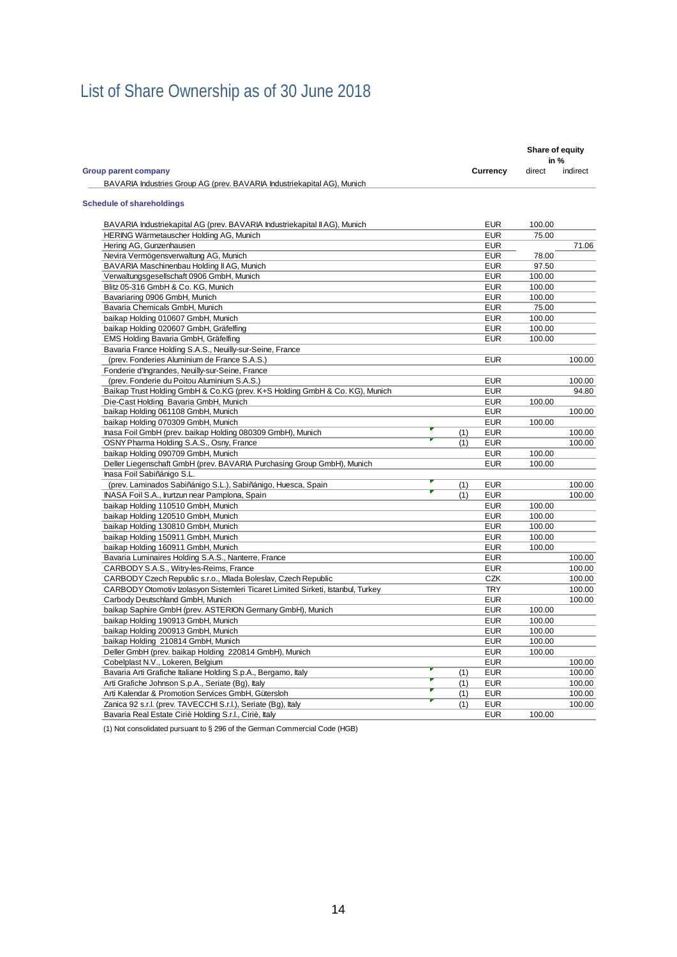# <span id="page-13-0"></span>List of Share Ownership as of 30 June 2018

|                                                                                 |     |            | Share of equity<br>in % |          |
|---------------------------------------------------------------------------------|-----|------------|-------------------------|----------|
| <b>Group parent company</b>                                                     |     | Currency   | direct                  | indirect |
| BAVARIA Industries Group AG (prev. BAVARIA Industriekapital AG), Munich         |     |            |                         |          |
| <b>Schedule of shareholdings</b>                                                |     |            |                         |          |
| BAVARIA Industriekapital AG (prev. BAVARIA Industriekapital II AG), Munich      |     | <b>EUR</b> | 100.00                  |          |
| HERING Wärmetauscher Holding AG, Munich                                         |     | <b>EUR</b> | 75.00                   |          |
| Hering AG, Gunzenhausen                                                         |     | <b>EUR</b> |                         | 71.06    |
| Nevira Vermögensverwaltung AG, Munich                                           |     | <b>EUR</b> | 78.00                   |          |
| BAVARIA Maschinenbau Holding II AG, Munich                                      |     | <b>EUR</b> | 97.50                   |          |
| Verwaltungsgesellschaft 0906 GmbH, Munich                                       |     | <b>EUR</b> | 100.00                  |          |
| Blitz 05-316 GmbH & Co. KG, Munich                                              |     | <b>EUR</b> | 100.00                  |          |
| Bavariaring 0906 GmbH, Munich                                                   |     | <b>EUR</b> | 100.00                  |          |
| Bavaria Chemicals GmbH, Munich                                                  |     | <b>EUR</b> | 75.00                   |          |
| baikap Holding 010607 GmbH, Munich                                              |     | <b>EUR</b> | 100.00                  |          |
| baikap Holding 020607 GmbH, Gräfelfing                                          |     | <b>EUR</b> | 100.00                  |          |
| EMS Holding Bavaria GmbH, Gräfelfing                                            |     | <b>EUR</b> | 100.00                  |          |
| Bavaria France Holding S.A.S., Neuilly-sur-Seine, France                        |     |            |                         |          |
| (prev. Fonderies Aluminium de France S.A.S.)                                    |     | <b>EUR</b> |                         | 100.00   |
| Fonderie d'Ingrandes, Neuilly-sur-Seine, France                                 |     |            |                         |          |
| (prev. Fonderie du Poitou Aluminium S.A.S.)                                     |     | <b>EUR</b> |                         | 100.00   |
| Baikap Trust Holding GmbH & Co.KG (prev. K+S Holding GmbH & Co. KG), Munich     |     | <b>EUR</b> |                         | 94.80    |
| Die-Cast Holding Bavaria GmbH, Munich                                           |     | <b>EUR</b> | 100.00                  |          |
| baikap Holding 061108 GmbH, Munich                                              |     | <b>EUR</b> |                         | 100.00   |
| baikap Holding 070309 GmbH, Munich                                              |     | <b>EUR</b> | 100.00                  |          |
| Inasa Foil GmbH (prev. baikap Holding 080309 GmbH), Munich                      | (1) | <b>EUR</b> |                         | 100.00   |
| OSNY Pharma Holding S.A.S., Osny, France                                        | (1) | <b>EUR</b> |                         | 100.00   |
| baikap Holding 090709 GmbH, Munich                                              |     | <b>EUR</b> | 100.00                  |          |
| Deller Liegenschaft GmbH (prev. BAVARIA Purchasing Group GmbH), Munich          |     | <b>EUR</b> | 100.00                  |          |
| Inasa Foil Sabiñánigo S.L.                                                      |     |            |                         |          |
| (prev. Laminados Sabiñánigo S.L.), Sabiñánigo, Huesca, Spain                    | (1) | <b>EUR</b> |                         | 100.00   |
| INASA Foil S.A., Irurtzun near Pamplona, Spain                                  | (1) | <b>EUR</b> |                         | 100.00   |
| baikap Holding 110510 GmbH, Munich                                              |     | <b>EUR</b> | 100.00                  |          |
| baikap Holding 120510 GmbH, Munich                                              |     | <b>EUR</b> | 100.00                  |          |
| baikap Holding 130810 GmbH, Munich                                              |     | <b>EUR</b> | 100.00                  |          |
| baikap Holding 150911 GmbH, Munich                                              |     | <b>EUR</b> | 100.00                  |          |
| baikap Holding 160911 GmbH, Munich                                              |     | <b>EUR</b> | 100.00                  |          |
| Bavaria Luminaires Holding S.A.S., Nanterre, France                             |     | <b>EUR</b> |                         | 100.00   |
| CARBODY S.A.S., Witry-les-Reims, France                                         |     | <b>EUR</b> |                         | 100.00   |
| CARBODY Czech Republic s.r.o., Mlada Boleslav, Czech Republic                   |     | CZK        |                         | 100.00   |
| CARBODY Otomotiv Izolasyon Sistemleri Ticaret Limited Sirketi, Istanbul, Turkey |     | <b>TRY</b> |                         | 100.00   |
| Carbody Deutschland GmbH, Munich                                                |     | <b>EUR</b> |                         | 100.00   |
| baikap Saphire GmbH (prev. ASTERION Germany GmbH), Munich                       |     | <b>EUR</b> | 100.00                  |          |
| baikap Holding 190913 GmbH, Munich                                              |     | <b>EUR</b> | 100.00                  |          |
| baikap Holding 200913 GmbH, Munich                                              |     | <b>EUR</b> | 100.00                  |          |
| baikap Holding 210814 GmbH, Munich                                              |     | <b>EUR</b> | 100.00                  |          |
| Deller GmbH (prev. baikap Holding 220814 GmbH), Munich                          |     | <b>EUR</b> | 100.00                  |          |
| Cobelplast N.V., Lokeren, Belgium                                               |     | <b>EUR</b> |                         | 100.00   |
| Bavaria Arti Grafiche Italiane Holding S.p.A., Bergamo, Italy                   | (1) | <b>EUR</b> |                         | 100.00   |
| Arti Grafiche Johnson S.p.A., Seriate (Bg), Italy                               | (1) | <b>EUR</b> |                         | 100.00   |
| Arti Kalendar & Promotion Services GmbH, Gütersloh                              | (1) | <b>EUR</b> |                         | 100.00   |
| Zanica 92 s.r.l. (prev. TAVECCHI S.r.l.), Seriate (Bg), Italy                   | (1) | <b>EUR</b> |                         | 100.00   |
| Bavaria Real Estate Ciriè Holding S.r.l., Ciriè, Italy                          |     | <b>EUR</b> | 100.00                  |          |

(1) Not consolidated pursuant to § 296 of the German Commercial Code (HGB)